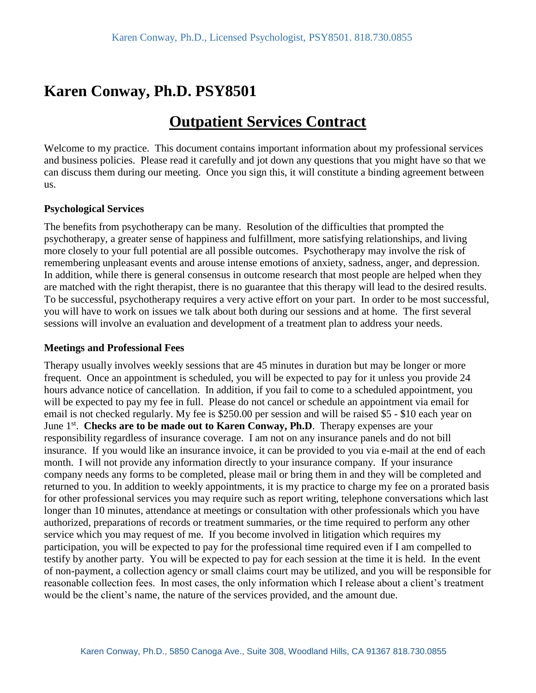# **Karen Conway, Ph.D. PSY8501**

## **Outpatient Services Contract**

Welcome to my practice. This document contains important information about my professional services and business policies. Please read it carefully and jot down any questions that you might have so that we can discuss them during our meeting. Once you sign this, it will constitute a binding agreement between us.

#### **Psychological Services**

The benefits from psychotherapy can be many. Resolution of the difficulties that prompted the psychotherapy, a greater sense of happiness and fulfillment, more satisfying relationships, and living more closely to your full potential are all possible outcomes. Psychotherapy may involve the risk of remembering unpleasant events and arouse intense emotions of anxiety, sadness, anger, and depression. In addition, while there is general consensus in outcome research that most people are helped when they are matched with the right therapist, there is no guarantee that this therapy will lead to the desired results. To be successful, psychotherapy requires a very active effort on your part. In order to be most successful, you will have to work on issues we talk about both during our sessions and at home. The first several sessions will involve an evaluation and development of a treatment plan to address your needs.

#### **Meetings and Professional Fees**

Therapy usually involves weekly sessions that are 45 minutes in duration but may be longer or more frequent. Once an appointment is scheduled, you will be expected to pay for it unless you provide 24 hours advance notice of cancellation. In addition, if you fail to come to a scheduled appointment, you will be expected to pay my fee in full. Please do not cancel or schedule an appointment via email for email is not checked regularly. My fee is \$250.00 per session and will be raised \$5 - \$10 each year on June 1<sup>st</sup>. Checks are to be made out to Karen Conway, Ph.D. Therapy expenses are your responsibility regardless of insurance coverage. I am not on any insurance panels and do not bill insurance. If you would like an insurance invoice, it can be provided to you via e-mail at the end of each month. I will not provide any information directly to your insurance company. If your insurance company needs any forms to be completed, please mail or bring them in and they will be completed and returned to you. In addition to weekly appointments, it is my practice to charge my fee on a prorated basis for other professional services you may require such as report writing, telephone conversations which last longer than 10 minutes, attendance at meetings or consultation with other professionals which you have authorized, preparations of records or treatment summaries, or the time required to perform any other service which you may request of me. If you become involved in litigation which requires my participation, you will be expected to pay for the professional time required even if I am compelled to testify by another party. You will be expected to pay for each session at the time it is held. In the event of non-payment, a collection agency or small claims court may be utilized, and you will be responsible for reasonable collection fees. In most cases, the only information which I release about a client's treatment would be the client's name, the nature of the services provided, and the amount due.